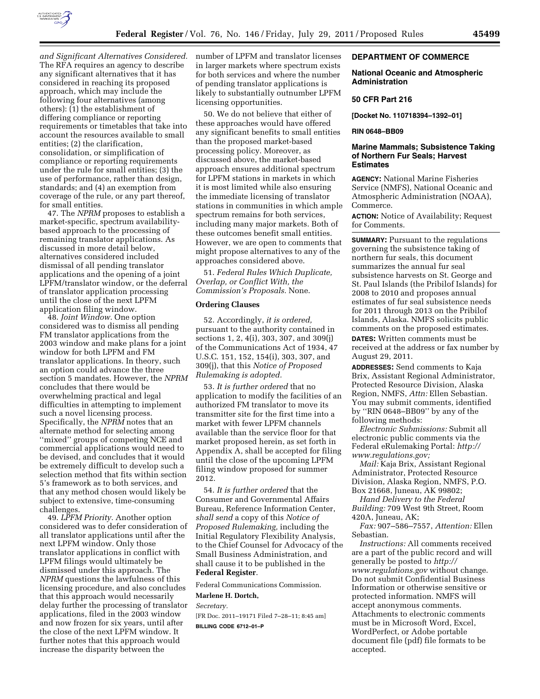

*and Significant Alternatives Considered.*  The RFA requires an agency to describe any significant alternatives that it has considered in reaching its proposed approach, which may include the following four alternatives (among others): (1) the establishment of differing compliance or reporting requirements or timetables that take into account the resources available to small entities; (2) the clarification, consolidation, or simplification of compliance or reporting requirements under the rule for small entities; (3) the use of performance, rather than design, standards; and (4) an exemption from coverage of the rule, or any part thereof, for small entities.

47. The *NPRM* proposes to establish a market-specific, spectrum availabilitybased approach to the processing of remaining translator applications. As discussed in more detail below, alternatives considered included dismissal of all pending translator applications and the opening of a joint LPFM/translator window, or the deferral of translator application processing until the close of the next LPFM application filing window.

48. *Joint Window.* One option considered was to dismiss all pending FM translator applications from the 2003 window and make plans for a joint window for both LPFM and FM translator applications. In theory, such an option could advance the three section 5 mandates. However, the *NPRM*  concludes that there would be overwhelming practical and legal difficulties in attempting to implement such a novel licensing process. Specifically, the *NPRM* notes that an alternate method for selecting among ''mixed'' groups of competing NCE and commercial applications would need to be devised, and concludes that it would be extremely difficult to develop such a selection method that fits within section 5's framework as to both services, and that any method chosen would likely be subject to extensive, time-consuming challenges.

49. *LPFM Priority.* Another option considered was to defer consideration of all translator applications until after the next LPFM window. Only those translator applications in conflict with LPFM filings would ultimately be dismissed under this approach. The *NPRM* questions the lawfulness of this licensing procedure, and also concludes that this approach would necessarily delay further the processing of translator applications, filed in the 2003 window and now frozen for six years, until after the close of the next LPFM window. It further notes that this approach would increase the disparity between the

number of LPFM and translator licenses in larger markets where spectrum exists for both services and where the number of pending translator applications is likely to substantially outnumber LPFM licensing opportunities.

50. We do not believe that either of these approaches would have offered any significant benefits to small entities than the proposed market-based processing policy. Moreover, as discussed above, the market-based approach ensures additional spectrum for LPFM stations in markets in which it is most limited while also ensuring the immediate licensing of translator stations in communities in which ample spectrum remains for both services, including many major markets. Both of these outcomes benefit small entities. However, we are open to comments that might propose alternatives to any of the approaches considered above.

51. *Federal Rules Which Duplicate, Overlap, or Conflict With, the Commission's Proposals.* None.

### **Ordering Clauses**

52. Accordingly, *it is ordered,*  pursuant to the authority contained in sections 1, 2, 4(i), 303, 307, and 309(j) of the Communications Act of 1934, 47 U.S.C. 151, 152, 154(i), 303, 307, and 309(j), that this *Notice of Proposed Rulemaking is adopted.* 

53. *It is further ordered* that no application to modify the facilities of an authorized FM translator to move its transmitter site for the first time into a market with fewer LPFM channels available than the service floor for that market proposed herein, as set forth in Appendix A, shall be accepted for filing until the close of the upcoming LPFM filing window proposed for summer 2012.

54. *It is further ordered* that the Consumer and Governmental Affairs Bureau, Reference Information Center, *shall send* a copy of this *Notice of Proposed Rulemaking,* including the Initial Regulatory Flexibility Analysis, to the Chief Counsel for Advocacy of the Small Business Administration, and shall cause it to be published in the **Federal Register**.

Federal Communications Commission. **Marlene H. Dortch,** 

*Secretary.* 

[FR Doc. 2011–19171 Filed 7–28–11; 8:45 am] **BILLING CODE 6712–01–P** 

### **DEPARTMENT OF COMMERCE**

### **National Oceanic and Atmospheric Administration**

#### **50 CFR Part 216**

**[Docket No. 110718394–1392–01]** 

### **RIN 0648–BB09**

## **Marine Mammals; Subsistence Taking of Northern Fur Seals; Harvest Estimates**

**AGENCY:** National Marine Fisheries Service (NMFS), National Oceanic and Atmospheric Administration (NOAA), Commerce.

**ACTION:** Notice of Availability; Request for Comments.

**SUMMARY:** Pursuant to the regulations governing the subsistence taking of northern fur seals, this document summarizes the annual fur seal subsistence harvests on St. George and St. Paul Islands (the Pribilof Islands) for 2008 to 2010 and proposes annual estimates of fur seal subsistence needs for 2011 through 2013 on the Pribilof Islands, Alaska. NMFS solicits public comments on the proposed estimates. **DATES:** Written comments must be

received at the address or fax number by August 29, 2011.

**ADDRESSES:** Send comments to Kaja Brix, Assistant Regional Administrator, Protected Resource Division, Alaska Region, NMFS, *Attn:* Ellen Sebastian. You may submit comments, identified by ''RIN 0648–BB09'' by any of the following methods:

*Electronic Submissions:* Submit all electronic public comments via the Federal eRulemaking Portal: *[http://](http://www.regulations.gov)  [www.regulations.gov;](http://www.regulations.gov)* 

*Mail:* Kaja Brix, Assistant Regional Administrator, Protected Resource Division, Alaska Region, NMFS, P.O. Box 21668, Juneau, AK 99802;

*Hand Delivery to the Federal Building:* 709 West 9th Street, Room 420A, Juneau, AK;

*Fax:* 907–586–7557, *Attention:* Ellen Sebastian.

*Instructions:* All comments received are a part of the public record and will generally be posted to *[http://](http://www.regulations.gov) [www.regulations.gov](http://www.regulations.gov)* without change. Do not submit Confidential Business Information or otherwise sensitive or protected information. NMFS will accept anonymous comments. Attachments to electronic comments must be in Microsoft Word, Excel, WordPerfect, or Adobe portable document file (pdf) file formats to be accepted.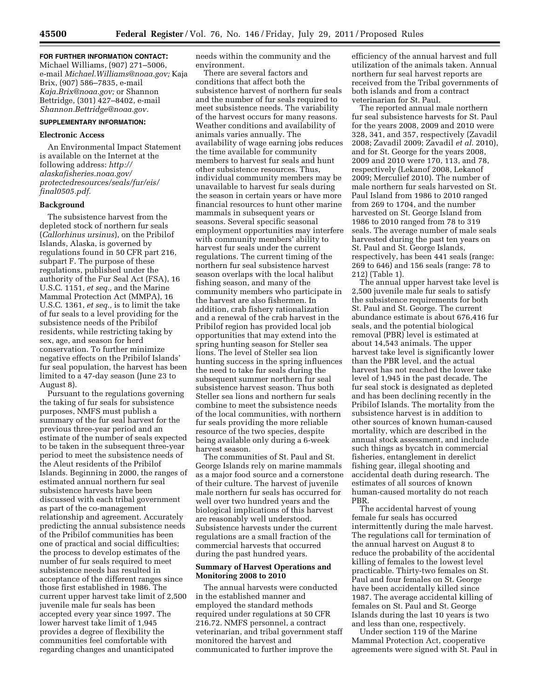# **FOR FURTHER INFORMATION CONTACT:**

Michael Williams, (907) 271–5006, e-mail *[Michael.Williams@noaa.gov;](mailto:Michael.Williams@noaa.gov)* Kaja Brix, (907) 586–7835, e-mail *[Kaja.Brix@noaa.gov;](mailto:Kaja.Brix@noaa.gov)* or Shannon Bettridge, (301) 427–8402, e-mail *[Shannon.Bettridge@noaa.gov.](mailto:Shannon.Bettridge@noaa.gov)* 

# **SUPPLEMENTARY INFORMATION:**

## **Electronic Access**

An Environmental Impact Statement is available on the Internet at the following address: *[http://](http://alaskafisheries.noaa.gov/protectedresources/seals/fur/eis/final0505.pdf)  [alaskafisheries.noaa.gov/](http://alaskafisheries.noaa.gov/protectedresources/seals/fur/eis/final0505.pdf)  [protectedresources/seals/fur/eis/](http://alaskafisheries.noaa.gov/protectedresources/seals/fur/eis/final0505.pdf)  [final0505.pdf.](http://alaskafisheries.noaa.gov/protectedresources/seals/fur/eis/final0505.pdf)* 

### **Background**

The subsistence harvest from the depleted stock of northern fur seals (*Callorhinus ursinus*), on the Pribilof Islands, Alaska, is governed by regulations found in 50 CFR part 216, subpart F. The purpose of these regulations, published under the authority of the Fur Seal Act (FSA), 16 U.S.C. 1151, *et seq.,* and the Marine Mammal Protection Act (MMPA), 16 U.S.C. 1361, *et seq.,* is to limit the take of fur seals to a level providing for the subsistence needs of the Pribilof residents, while restricting taking by sex, age, and season for herd conservation. To further minimize negative effects on the Pribilof Islands' fur seal population, the harvest has been limited to a 47-day season (June 23 to August 8).

Pursuant to the regulations governing the taking of fur seals for subsistence purposes, NMFS must publish a summary of the fur seal harvest for the previous three-year period and an estimate of the number of seals expected to be taken in the subsequent three-year period to meet the subsistence needs of the Aleut residents of the Pribilof Islands. Beginning in 2000, the ranges of estimated annual northern fur seal subsistence harvests have been discussed with each tribal government as part of the co-management relationship and agreement. Accurately predicting the annual subsistence needs of the Pribilof communities has been one of practical and social difficulties; the process to develop estimates of the number of fur seals required to meet subsistence needs has resulted in acceptance of the different ranges since those first established in 1986. The current upper harvest take limit of 2,500 juvenile male fur seals has been accepted every year since 1997. The lower harvest take limit of 1,945 provides a degree of flexibility the communities feel comfortable with regarding changes and unanticipated

needs within the community and the environment.

There are several factors and conditions that affect both the subsistence harvest of northern fur seals and the number of fur seals required to meet subsistence needs. The variability of the harvest occurs for many reasons. Weather conditions and availability of animals varies annually. The availability of wage earning jobs reduces the time available for community members to harvest fur seals and hunt other subsistence resources. Thus, individual community members may be unavailable to harvest fur seals during the season in certain years or have more financial resources to hunt other marine mammals in subsequent years or seasons. Several specific seasonal employment opportunities may interfere with community members' ability to harvest fur seals under the current regulations. The current timing of the northern fur seal subsistence harvest season overlaps with the local halibut fishing season, and many of the community members who participate in the harvest are also fishermen. In addition, crab fishery rationalization and a renewal of the crab harvest in the Pribilof region has provided local job opportunities that may extend into the spring hunting season for Steller sea lions. The level of Steller sea lion hunting success in the spring influences the need to take fur seals during the subsequent summer northern fur seal subsistence harvest season. Thus both Steller sea lions and northern fur seals combine to meet the subsistence needs of the local communities, with northern fur seals providing the more reliable resource of the two species, despite being available only during a 6-week harvest season.

The communities of St. Paul and St. George Islands rely on marine mammals as a major food source and a cornerstone of their culture. The harvest of juvenile male northern fur seals has occurred for well over two hundred years and the biological implications of this harvest are reasonably well understood. Subsistence harvests under the current regulations are a small fraction of the commercial harvests that occurred during the past hundred years.

### **Summary of Harvest Operations and Monitoring 2008 to 2010**

The annual harvests were conducted in the established manner and employed the standard methods required under regulations at 50 CFR 216.72. NMFS personnel, a contract veterinarian, and tribal government staff monitored the harvest and communicated to further improve the

efficiency of the annual harvest and full utilization of the animals taken. Annual northern fur seal harvest reports are received from the Tribal governments of both islands and from a contract veterinarian for St. Paul.

The reported annual male northern fur seal subsistence harvests for St. Paul for the years 2008, 2009 and 2010 were 328, 341, and 357, respectively (Zavadil 2008; Zavadil 2009; Zavadil *et al.* 2010), and for St. George for the years 2008, 2009 and 2010 were 170, 113, and 78, respectively (Lekanof 2008, Lekanof 2009; Merculief 2010). The number of male northern fur seals harvested on St. Paul Island from 1986 to 2010 ranged from 269 to 1704, and the number harvested on St. George Island from 1986 to 2010 ranged from 78 to 319 seals. The average number of male seals harvested during the past ten years on St. Paul and St. George Islands, respectively, has been 441 seals (range: 269 to 646) and 156 seals (range: 78 to 212) (Table 1).

The annual upper harvest take level is 2,500 juvenile male fur seals to satisfy the subsistence requirements for both St. Paul and St. George. The current abundance estimate is about 676,416 fur seals, and the potential biological removal (PBR) level is estimated at about 14,543 animals. The upper harvest take level is significantly lower than the PBR level, and the actual harvest has not reached the lower take level of 1,945 in the past decade. The fur seal stock is designated as depleted and has been declining recently in the Pribilof Islands. The mortality from the subsistence harvest is in addition to other sources of known human-caused mortality, which are described in the annual stock assessment, and include such things as bycatch in commercial fisheries, entanglement in derelict fishing gear, illegal shooting and accidental death during research. The estimates of all sources of known human-caused mortality do not reach PBR.

The accidental harvest of young female fur seals has occurred intermittently during the male harvest. The regulations call for termination of the annual harvest on August 8 to reduce the probability of the accidental killing of females to the lowest level practicable. Thirty-two females on St. Paul and four females on St. George have been accidentally killed since 1987. The average accidental killing of females on St. Paul and St. George Islands during the last 10 years is two and less than one, respectively.

Under section 119 of the Marine Mammal Protection Act, cooperative agreements were signed with St. Paul in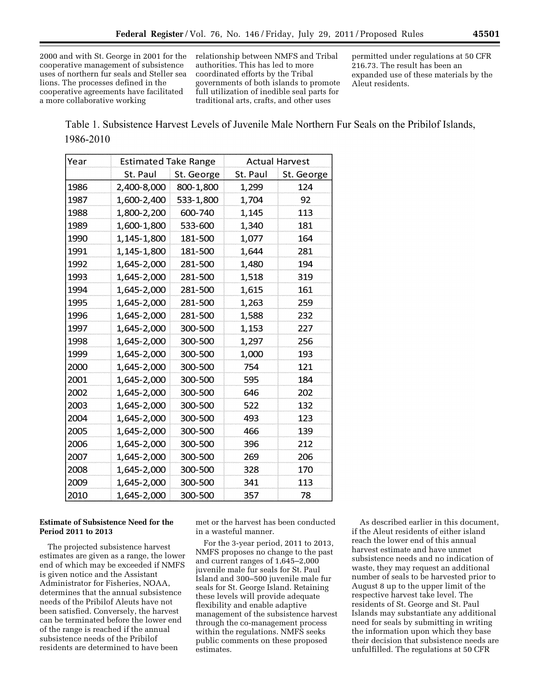2000 and with St. George in 2001 for the cooperative management of subsistence uses of northern fur seals and Steller sea lions. The processes defined in the cooperative agreements have facilitated a more collaborative working

relationship between NMFS and Tribal authorities. This has led to more coordinated efforts by the Tribal governments of both islands to promote full utilization of inedible seal parts for traditional arts, crafts, and other uses

permitted under regulations at 50 CFR 216.73. The result has been an expanded use of these materials by the Aleut residents.

Table 1. Subsistence Harvest Levels of Juvenile Male Northern Fur Seals on the Pribilof Islands, 1986-2010

| Year | <b>Estimated Take Range</b> |            | <b>Actual Harvest</b> |            |
|------|-----------------------------|------------|-----------------------|------------|
|      | St. Paul                    | St. George | St. Paul              | St. George |
| 1986 | 2,400-8,000                 | 800-1,800  | 1,299                 | 124        |
| 1987 | 1,600-2,400                 | 533-1,800  | 1,704                 | 92         |
| 1988 | 1,800-2,200                 | 600-740    | 1,145                 | 113        |
| 1989 | 1,600-1,800                 | 533-600    | 1,340                 | 181        |
| 1990 | 1,145-1,800                 | 181-500    | 1,077                 | 164        |
| 1991 | 1,145-1,800                 | 181-500    | 1,644                 | 281        |
| 1992 | 1,645-2,000                 | 281-500    | 1,480                 | 194        |
| 1993 | 1,645-2,000                 | 281-500    | 1,518                 | 319        |
| 1994 | 1,645-2,000                 | 281-500    | 1,615                 | 161        |
| 1995 | 1,645-2,000                 | 281-500    | 1,263                 | 259        |
| 1996 | 1,645-2,000                 | 281-500    | 1,588                 | 232        |
| 1997 | 1,645-2,000                 | 300-500    | 1,153                 | 227        |
| 1998 | 1,645-2,000                 | 300-500    | 1,297                 | 256        |
| 1999 | 1,645-2,000                 | 300-500    | 1,000                 | 193        |
| 2000 | 1,645-2,000                 | 300-500    | 754                   | 121        |
| 2001 | 1,645-2,000                 | 300-500    | 595                   | 184        |
| 2002 | 1,645-2,000                 | 300-500    | 646                   | 202        |
| 2003 | 1,645-2,000                 | 300-500    | 522                   | 132        |
| 2004 | 1,645-2,000                 | 300-500    | 493                   | 123        |
| 2005 | 1,645-2,000                 | 300-500    | 466                   | 139        |
| 2006 | 1,645-2,000                 | 300-500    | 396                   | 212        |
| 2007 | 1,645-2,000                 | 300-500    | 269                   | 206        |
| 2008 | 1,645-2,000                 | 300-500    | 328                   | 170        |
| 2009 | 1,645-2,000                 | 300-500    | 341                   | 113        |
| 2010 | 1,645-2,000                 | 300-500    | 357                   | 78         |

# **Estimate of Subsistence Need for the Period 2011 to 2013**

The projected subsistence harvest estimates are given as a range, the lower end of which may be exceeded if NMFS is given notice and the Assistant Administrator for Fisheries, NOAA, determines that the annual subsistence needs of the Pribilof Aleuts have not been satisfied. Conversely, the harvest can be terminated before the lower end of the range is reached if the annual subsistence needs of the Pribilof residents are determined to have been

met or the harvest has been conducted in a wasteful manner.

For the 3-year period, 2011 to 2013, NMFS proposes no change to the past and current ranges of 1,645–2,000 juvenile male fur seals for St. Paul Island and 300–500 juvenile male fur seals for St. George Island. Retaining these levels will provide adequate flexibility and enable adaptive management of the subsistence harvest through the co-management process within the regulations. NMFS seeks public comments on these proposed estimates.

As described earlier in this document, if the Aleut residents of either island reach the lower end of this annual harvest estimate and have unmet subsistence needs and no indication of waste, they may request an additional number of seals to be harvested prior to August 8 up to the upper limit of the respective harvest take level. The residents of St. George and St. Paul Islands may substantiate any additional need for seals by submitting in writing the information upon which they base their decision that subsistence needs are unfulfilled. The regulations at 50 CFR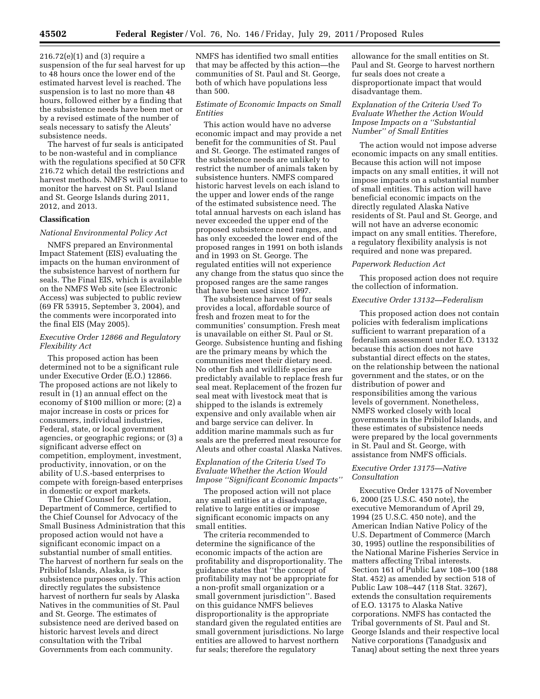216.72(e)(1) and (3) require a suspension of the fur seal harvest for up to 48 hours once the lower end of the estimated harvest level is reached. The suspension is to last no more than 48 hours, followed either by a finding that the subsistence needs have been met or by a revised estimate of the number of seals necessary to satisfy the Aleuts' subsistence needs.

The harvest of fur seals is anticipated to be non-wasteful and in compliance with the regulations specified at 50 CFR 216.72 which detail the restrictions and harvest methods. NMFS will continue to monitor the harvest on St. Paul Island and St. George Islands during 2011, 2012, and 2013.

## **Classification**

#### *National Environmental Policy Act*

NMFS prepared an Environmental Impact Statement (EIS) evaluating the impacts on the human environment of the subsistence harvest of northern fur seals. The Final EIS, which is available on the NMFS Web site (see Electronic Access) was subjected to public review (69 FR 53915, September 3, 2004), and the comments were incorporated into the final EIS (May 2005).

## *Executive Order 12866 and Regulatory Flexibility Act*

This proposed action has been determined not to be a significant rule under Executive Order (E.O.) 12866. The proposed actions are not likely to result in (1) an annual effect on the economy of \$100 million or more; (2) a major increase in costs or prices for consumers, individual industries, Federal, state, or local government agencies, or geographic regions; or (3) a significant adverse effect on competition, employment, investment, productivity, innovation, or on the ability of U.S.-based enterprises to compete with foreign-based enterprises in domestic or export markets.

The Chief Counsel for Regulation, Department of Commerce, certified to the Chief Counsel for Advocacy of the Small Business Administration that this proposed action would not have a significant economic impact on a substantial number of small entities. The harvest of northern fur seals on the Pribilof Islands, Alaska, is for subsistence purposes only. This action directly regulates the subsistence harvest of northern fur seals by Alaska Natives in the communities of St. Paul and St. George. The estimates of subsistence need are derived based on historic harvest levels and direct consultation with the Tribal Governments from each community.

NMFS has identified two small entities that may be affected by this action—the communities of St. Paul and St. George, both of which have populations less than 500.

### *Estimate of Economic Impacts on Small Entities*

This action would have no adverse economic impact and may provide a net benefit for the communities of St. Paul and St. George. The estimated ranges of the subsistence needs are unlikely to restrict the number of animals taken by subsistence hunters. NMFS compared historic harvest levels on each island to the upper and lower ends of the range of the estimated subsistence need. The total annual harvests on each island has never exceeded the upper end of the proposed subsistence need ranges, and has only exceeded the lower end of the proposed ranges in 1991 on both islands and in 1993 on St. George. The regulated entities will not experience any change from the status quo since the proposed ranges are the same ranges that have been used since 1997.

The subsistence harvest of fur seals provides a local, affordable source of fresh and frozen meat to for the communities' consumption. Fresh meat is unavailable on either St. Paul or St. George. Subsistence hunting and fishing are the primary means by which the communities meet their dietary need. No other fish and wildlife species are predictably available to replace fresh fur seal meat. Replacement of the frozen fur seal meat with livestock meat that is shipped to the islands is extremely expensive and only available when air and barge service can deliver. In addition marine mammals such as fur seals are the preferred meat resource for Aleuts and other coastal Alaska Natives.

## *Explanation of the Criteria Used To Evaluate Whether the Action Would Impose ''Significant Economic Impacts''*

The proposed action will not place any small entities at a disadvantage, relative to large entities or impose significant economic impacts on any small entities.

The criteria recommended to determine the significance of the economic impacts of the action are profitability and disproportionality. The guidance states that ''the concept of profitability may not be appropriate for a non-profit small organization or a small government jurisdiction''. Based on this guidance NMFS believes disproportionality is the appropriate standard given the regulated entities are small government jurisdictions. No large entities are allowed to harvest northern fur seals; therefore the regulatory

allowance for the small entities on St. Paul and St. George to harvest northern fur seals does not create a disproportionate impact that would disadvantage them.

## *Explanation of the Criteria Used To Evaluate Whether the Action Would Impose Impacts on a ''Substantial Number'' of Small Entities*

The action would not impose adverse economic impacts on any small entities. Because this action will not impose impacts on any small entities, it will not impose impacts on a substantial number of small entities. This action will have beneficial economic impacts on the directly regulated Alaska Native residents of St. Paul and St. George, and will not have an adverse economic impact on any small entities. Therefore, a regulatory flexibility analysis is not required and none was prepared.

#### *Paperwork Reduction Act*

This proposed action does not require the collection of information.

## *Executive Order 13132—Federalism*

This proposed action does not contain policies with federalism implications sufficient to warrant preparation of a federalism assessment under E.O. 13132 because this action does not have substantial direct effects on the states, on the relationship between the national government and the states, or on the distribution of power and responsibilities among the various levels of government. Nonetheless, NMFS worked closely with local governments in the Pribilof Islands, and these estimates of subsistence needs were prepared by the local governments in St. Paul and St. George, with assistance from NMFS officials.

### *Executive Order 13175—Native Consultation*

Executive Order 13175 of November 6, 2000 (25 U.S.C. 450 note), the executive Memorandum of April 29, 1994 (25 U.S.C. 450 note), and the American Indian Native Policy of the U.S. Department of Commerce (March 30, 1995) outline the responsibilities of the National Marine Fisheries Service in matters affecting Tribal interests. Section 161 of Public Law 108–100 (188 Stat. 452) as amended by section 518 of Public Law 108–447 (118 Stat. 3267), extends the consultation requirements of E.O. 13175 to Alaska Native corporations. NMFS has contacted the Tribal governments of St. Paul and St. George Islands and their respective local Native corporations (Tanadgusix and Tanaq) about setting the next three years